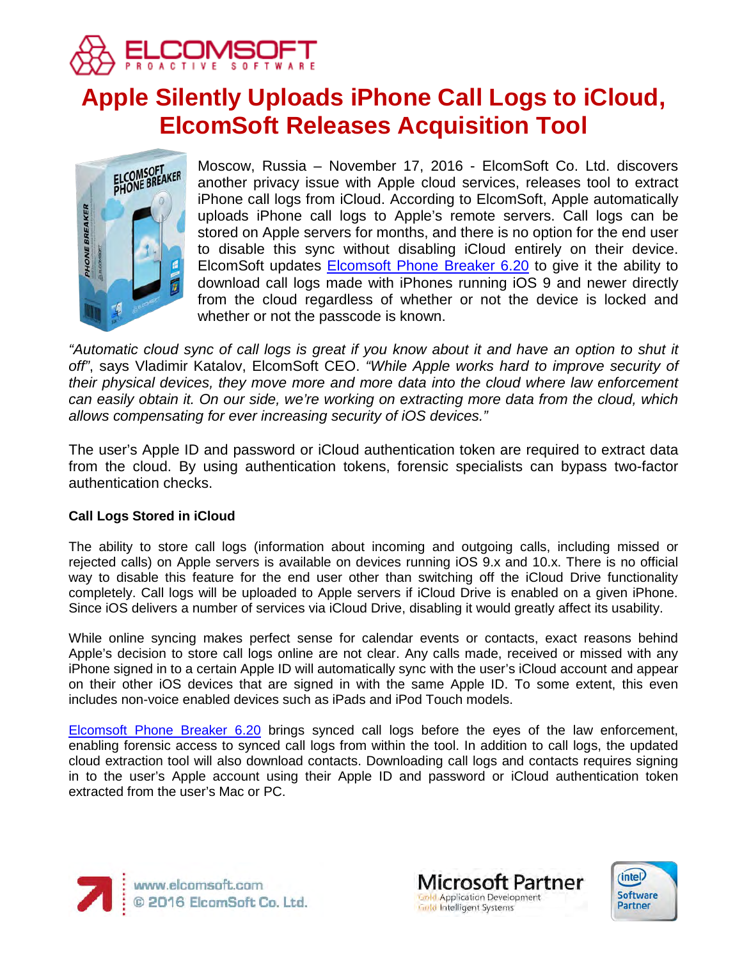

# **Apple Silently Uploads iPhone Call Logs to iCloud, ElcomSoft Releases Acquisition Tool**



Moscow, Russia – November 17, 2016 - ElcomSoft Co. Ltd. discovers another privacy issue with Apple cloud services, releases tool to extract iPhone call logs from iCloud. According to ElcomSoft, Apple automatically uploads iPhone call logs to Apple's remote servers. Call logs can be stored on Apple servers for months, and there is no option for the end user to disable this sync without disabling iCloud entirely on their device. ElcomSoft updates [Elcomsoft Phone Breaker 6.20](https://www.elcomsoft.com/eppb.html) to give it the ability to download call logs made with iPhones running iOS 9 and newer directly from the cloud regardless of whether or not the device is locked and whether or not the passcode is known.

*"Automatic cloud sync of call logs is great if you know about it and have an option to shut it off"*, says Vladimir Katalov, ElcomSoft CEO. *"While Apple works hard to improve security of their physical devices, they move more and more data into the cloud where law enforcement can easily obtain it. On our side, we're working on extracting more data from the cloud, which allows compensating for ever increasing security of iOS devices."*

The user's Apple ID and password or iCloud authentication token are required to extract data from the cloud. By using authentication tokens, forensic specialists can bypass two-factor authentication checks.

## **Call Logs Stored in iCloud**

The ability to store call logs (information about incoming and outgoing calls, including missed or rejected calls) on Apple servers is available on devices running iOS 9.x and 10.x. There is no official way to disable this feature for the end user other than switching off the iCloud Drive functionality completely. Call logs will be uploaded to Apple servers if iCloud Drive is enabled on a given iPhone. Since iOS delivers a number of services via iCloud Drive, disabling it would greatly affect its usability.

While online syncing makes perfect sense for calendar events or contacts, exact reasons behind Apple's decision to store call logs online are not clear. Any calls made, received or missed with any iPhone signed in to a certain Apple ID will automatically sync with the user's iCloud account and appear on their other iOS devices that are signed in with the same Apple ID. To some extent, this even includes non-voice enabled devices such as iPads and iPod Touch models.

[Elcomsoft Phone Breaker 6.20](https://www.elcomsoft.com/eppb.html) brings synced call logs before the eyes of the law enforcement, enabling forensic access to synced call logs from within the tool. In addition to call logs, the updated cloud extraction tool will also download contacts. Downloading call logs and contacts requires signing in to the user's Apple account using their Apple ID and password or iCloud authentication token extracted from the user's Mac or PC.